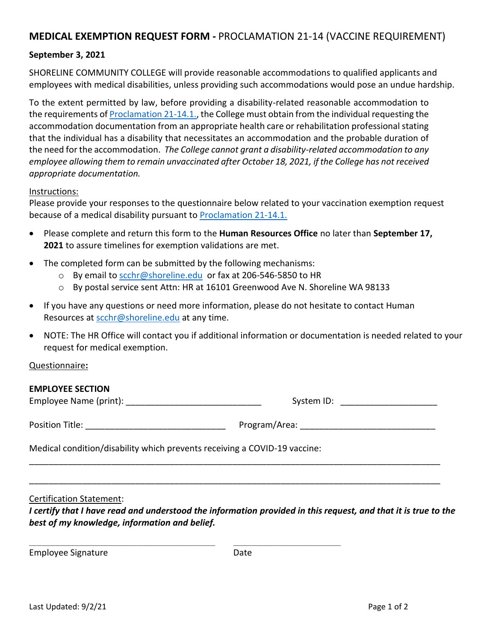# **MEDICAL EXEMPTION REQUEST FORM -** PROCLAMATION 21-14 (VACCINE REQUIREMENT)

## **September 3, 2021**

SHORELINE COMMUNITY COLLEGE will provide reasonable accommodations to qualified applicants and employees with medical disabilities, unless providing such accommodations would pose an undue hardship.

To the extent permitted by law, before providing a disability-related reasonable accommodation to the requirements of [Proclamation 21-14.1.,](https://www.governor.wa.gov/sites/default/files/proclamations/21-14.1%20-%20COVID-19%20Vax%20Washington%20Amendment.pdf?utm_medium=email&utm_source=govdelivery) the College must obtain from the individual requesting the accommodation documentation from an appropriate health care or rehabilitation professional stating that the individual has a disability that necessitates an accommodation and the probable duration of the need for the accommodation. *The College cannot grant a disability-related accommodation to any employee allowing them to remain unvaccinated after October 18, 2021, if the College has not received appropriate documentation.*

#### Instructions:

Please provide your responses to the questionnaire below related to your vaccination exemption request because of a medical disability pursuant to Proclamation 21-14.1.

- Please complete and return this form to the **Human Resources Office** no later than **September 17, 2021** to assure timelines for exemption validations are met.
- The completed form can be submitted by the following mechanisms:
	- o By email to [scchr@shoreline.edu](mailto:scchr@shoreline.edu) or fax at 206-546-5850 to HR
	- o By postal service sent Attn: HR at 16101 Greenwood Ave N. Shoreline WA 98133
- If you have any questions or need more information, please do not hesitate to contact Human Resources at [scchr@shoreline.edu](mailto:scchr@shoreline.edu) at any time.
- NOTE: The HR Office will contact you if additional information or documentation is needed related to your request for medical exemption.

## Questionnaire**:**

## **EMPLOYEE SECTION**

Employee Name (print): \_\_\_\_\_\_\_\_\_\_\_\_\_\_\_\_\_\_\_\_\_\_\_\_\_\_\_\_ System ID: \_\_\_\_\_\_\_\_\_\_\_\_\_\_\_\_\_\_\_\_

Position Title: etc. and the contract of the Program/Area:  $P$ 

Medical condition/disability which prevents receiving a COVID-19 vaccine:

\_\_\_\_\_\_\_\_\_\_\_\_\_\_\_\_\_\_\_\_\_\_\_\_\_\_\_\_\_\_\_\_\_\_\_\_\_\_\_\_\_\_\_\_\_\_\_\_\_\_\_\_\_\_\_\_\_\_\_\_\_\_\_\_\_\_\_\_\_\_\_ \_\_\_\_\_\_\_\_\_\_\_\_\_\_\_\_\_\_\_\_\_\_\_\_\_\_\_\_\_\_\_\_\_\_\_\_\_\_\_\_\_

#### Certification Statement:

*I* certify that *I* have read and understood the information provided in this request, and that it is true to the *best of my knowledge, information and belief.* 

\_\_\_\_\_\_\_\_\_\_\_\_\_\_\_\_\_\_\_\_\_\_\_\_\_\_\_\_\_\_\_\_\_\_\_\_\_\_\_\_\_\_\_\_\_\_\_\_\_\_\_\_\_\_\_\_\_\_\_\_\_\_\_\_\_\_\_\_\_\_\_\_\_\_\_\_\_\_\_\_\_\_\_\_\_

\_\_\_\_\_\_\_\_\_\_\_\_\_\_\_\_\_\_\_\_\_\_\_\_\_\_\_\_\_\_\_\_\_\_\_\_\_\_\_\_\_\_\_\_\_\_\_\_\_\_\_\_\_\_\_\_\_\_\_\_\_\_\_\_\_\_\_\_\_\_\_\_\_\_\_\_\_\_\_\_\_\_\_\_\_

Employee Signature Date Date